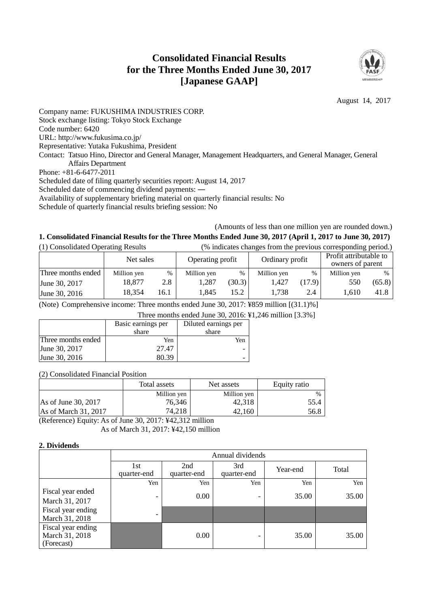# **Consolidated Financial Results for the Three Months Ended June 30, 2017 [Japanese GAAP]**



August 14, 2017

Company name: FUKUSHIMA INDUSTRIES CORP. Stock exchange listing: Tokyo Stock Exchange Code number: 6420 URL: http://www.fukusima.co.jp/ Representative: Yutaka Fukushima, President Contact: Tatsuo Hino, Director and General Manager, Management Headquarters, and General Manager, General Affairs Department Phone: +81-6-6477-2011 Scheduled date of filing quarterly securities report: August 14, 2017 Scheduled date of commencing dividend payments: ― Availability of supplementary briefing material on quarterly financial results: No Schedule of quarterly financial results briefing session: No

## (Amounts of less than one million yen are rounded down.) **1. Consolidated Financial Results for the Three Months Ended June 30, 2017 (April 1, 2017 to June 30, 2017)**

| (1) Consolidated Operating Results |             |      |                  |        | (% indicates changes from the previous corresponding period.) |        |                                            |        |
|------------------------------------|-------------|------|------------------|--------|---------------------------------------------------------------|--------|--------------------------------------------|--------|
|                                    | Net sales   |      | Operating profit |        | Ordinary profit                                               |        | Profit attributable to<br>owners of parent |        |
| Three months ended                 | Million yen | $\%$ | Million yen      | $\%$   | Million yen                                                   | %      | Million yen                                | $\%$   |
| June 30, 2017                      | 18.877      | 2.8  | 1.287            | (30.3) | 1.427                                                         | (17.9) | 550                                        | (65.8) |
| June 30, 2016                      | 18,354      | 16.1 | 1.845            | 15.2   | 1.738                                                         | 2.4    | 1.610                                      | 41.8   |

(Note) Comprehensive income: Three months ended June 30, 2017: ¥859 million [(31.1)%]

Three months ended June 30, 2016: ¥1,246 million [3.3%]

|                    | Basic earnings per | Diluted earnings per |
|--------------------|--------------------|----------------------|
|                    | share              | share                |
| Three months ended | Yen                | Yen                  |
| June 30, 2017      | 27.47              |                      |
| June 30, 2016      | 80.39              |                      |
|                    |                    |                      |

## (2) Consolidated Financial Position

|                      | Total assets | Net assets  | Equity ratio  |
|----------------------|--------------|-------------|---------------|
|                      | Million yen  | Million yen | $\frac{0}{0}$ |
| As of June 30, 2017  | 76,346       | 42.318      | 55.4          |
| As of March 31, 2017 | 74,218       | 42.160      | 56.8          |

(Reference) Equity: As of June 30, 2017: ¥42,312 million As of March 31, 2017: ¥42,150 million

## **2. Dividends**

|                                                    | Annual dividends         |                    |                    |          |       |
|----------------------------------------------------|--------------------------|--------------------|--------------------|----------|-------|
|                                                    | 1st<br>quarter-end       | 2nd<br>quarter-end | 3rd<br>quarter-end | Year-end | Total |
|                                                    | Yen                      | Yen                | Yen                | Yen      | Yen   |
| Fiscal year ended<br>March 31, 2017                | $\overline{\phantom{0}}$ | 0.00               | -                  | 35.00    | 35.00 |
| Fiscal year ending<br>March 31, 2018               | $\overline{\phantom{0}}$ |                    |                    |          |       |
| Fiscal year ending<br>March 31, 2018<br>(Forecast) |                          | 0.00               | -                  | 35.00    | 35.00 |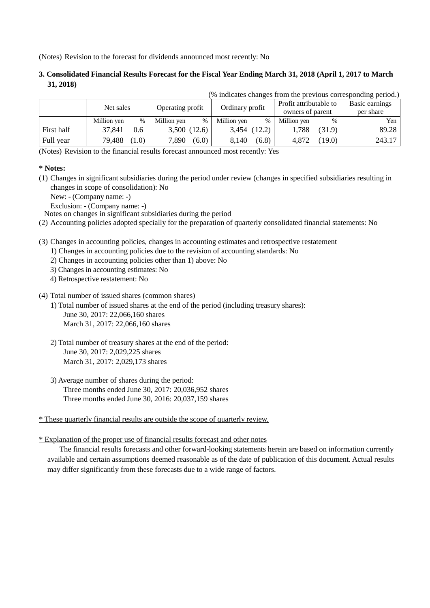(Notes) Revision to the forecast for dividends announced most recently: No

## **3. Consolidated Financial Results Forecast for the Fiscal Year Ending March 31, 2018 (April 1, 2017 to March 31, 2018)**

| (% indicates changes from the previous corresponding period.) |             |       |                  |             |                 |                  |                                            |        |                             |
|---------------------------------------------------------------|-------------|-------|------------------|-------------|-----------------|------------------|--------------------------------------------|--------|-----------------------------|
|                                                               | Net sales   |       | Operating profit |             | Ordinary profit |                  | Profit attributable to<br>owners of parent |        | Basic earnings<br>per share |
|                                                               | Million yen | $\%$  | Million yen      | $\%$        | Million yen     | $\%$             | Million yen                                | %      | Yen                         |
| First half                                                    | 37,841      | 0.6   |                  | 3,500(12.6) |                 | $3,454$ $(12.2)$ | 1,788                                      | (31.9) | 89.28                       |
| Full year                                                     | 79,488      | (1.0) | 7,890            | (6.0)       | 8,140           | (6.8)            | 4,872                                      | (19.0) | 243.17                      |

(Notes) Revision to the financial results forecast announced most recently: Yes

### **\* Notes:**

(1) Changes in significant subsidiaries during the period under review (changes in specified subsidiaries resulting in changes in scope of consolidation): No

New: - (Company name: -)

Exclusion: - (Company name: -)

Notes on changes in significant subsidiaries during the period

- (2) Accounting policies adopted specially for the preparation of quarterly consolidated financial statements: No
- (3) Changes in accounting policies, changes in accounting estimates and retrospective restatement
	- 1) Changes in accounting policies due to the revision of accounting standards: No
	- 2) Changes in accounting policies other than 1) above: No
	- 3) Changes in accounting estimates: No
	- 4) Retrospective restatement: No
- (4) Total number of issued shares (common shares)
	- 1) Total number of issued shares at the end of the period (including treasury shares): June 30, 2017: 22,066,160 shares March 31, 2017: 22,066,160 shares
	- 2) Total number of treasury shares at the end of the period: June 30, 2017: 2,029,225 shares March 31, 2017: 2,029,173 shares
	- 3) Average number of shares during the period: Three months ended June 30, 2017: 20,036,952 shares Three months ended June 30, 2016: 20,037,159 shares
- \* These quarterly financial results are outside the scope of quarterly review.

## \* Explanation of the proper use of financial results forecast and other notes

The financial results forecasts and other forward-looking statements herein are based on information currently available and certain assumptions deemed reasonable as of the date of publication of this document. Actual results may differ significantly from these forecasts due to a wide range of factors.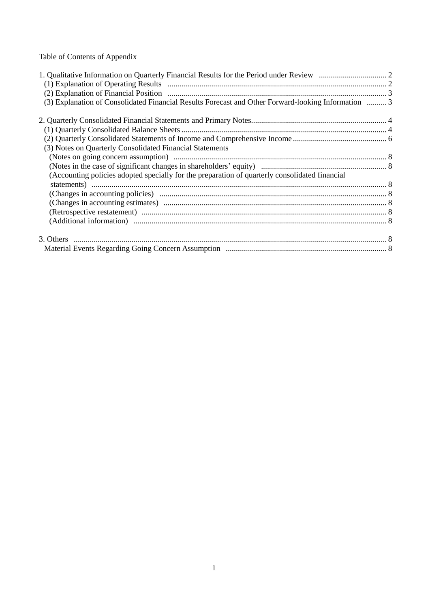Table of Contents of Appendix

| (3) Explanation of Consolidated Financial Results Forecast and Other Forward-looking Information  3 |  |
|-----------------------------------------------------------------------------------------------------|--|
|                                                                                                     |  |
|                                                                                                     |  |
|                                                                                                     |  |
| (3) Notes on Quarterly Consolidated Financial Statements                                            |  |
|                                                                                                     |  |
|                                                                                                     |  |
| (Accounting policies adopted specially for the preparation of quarterly consolidated financial      |  |
|                                                                                                     |  |
|                                                                                                     |  |
|                                                                                                     |  |
|                                                                                                     |  |
|                                                                                                     |  |
|                                                                                                     |  |
|                                                                                                     |  |
|                                                                                                     |  |
|                                                                                                     |  |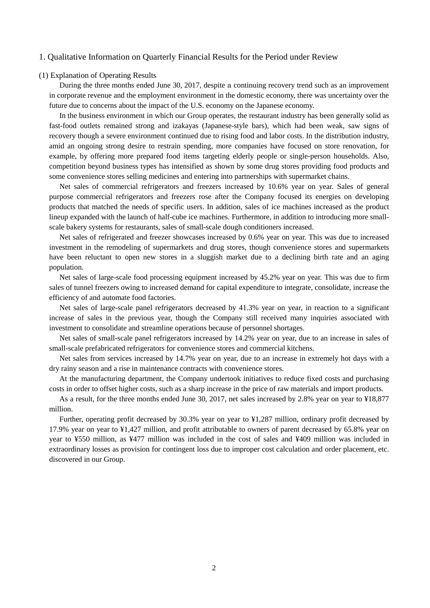#### 1. Qualitative Information on Quarterly Financial Results for the Period under Review

#### (1) Explanation of Operating Results

During the three months ended June 30, 2017, despite a continuing recovery trend such as an improvement in corporate revenue and the employment environment in the domestic economy, there was uncertainty over the future due to concerns about the impact of the U.S. economy on the Japanese economy.

In the business environment in which our Group operates, the restaurant industry has been generally solid as fast-food outlets remained strong and izakayas (Japanese-style bars), which had been weak, saw signs of recovery though a severe environment continued due to rising food and labor costs. In the distribution industry, amid an ongoing strong desire to restrain spending, more companies have focused on store renovation, for example, by offering more prepared food items targeting elderly people or single-person households. Also, competition beyond business types has intensified as shown by some drug stores providing food products and some convenience stores selling medicines and entering into partnerships with supermarket chains.

Net sales of commercial refrigerators and freezers increased by 10.6% year on year. Sales of general purpose commercial refrigerators and freezers rose after the Company focused its energies on developing products that matched the needs of specific users. In addition, sales of ice machines increased as the product lineup expanded with the launch of half-cube ice machines. Furthermore, in addition to introducing more smallscale bakery systems for restaurants, sales of small-scale dough conditioners increased.

Net sales of refrigerated and freezer showcases increased by 0.6% year on year. This was due to increased investment in the remodeling of supermarkets and drug stores, though convenience stores and supermarkets have been reluctant to open new stores in a sluggish market due to a declining birth rate and an aging population.

Net sales of large-scale food processing equipment increased by 45.2% year on year. This was due to firm sales of tunnel freezers owing to increased demand for capital expenditure to integrate, consolidate, increase the efficiency of and automate food factories.

Net sales of large-scale panel refrigerators decreased by 41.3% year on year, in reaction to a significant increase of sales in the previous year, though the Company still received many inquiries associated with investment to consolidate and streamline operations because of personnel shortages.

Net sales of small-scale panel refrigerators increased by 14.2% year on year, due to an increase in sales of small-scale prefabricated refrigerators for convenience stores and commercial kitchens.

Net sales from services increased by 14.7% year on year, due to an increase in extremely hot days with a dry rainy season and a rise in maintenance contracts with convenience stores.

At the manufacturing department, the Company undertook initiatives to reduce fixed costs and purchasing costs in order to offset higher costs, such as a sharp increase in the price of raw materials and import products.

As a result, for the three months ended June 30, 2017, net sales increased by 2.8% year on year to ¥18,877 million.

Further, operating profit decreased by 30.3% year on year to ¥1,287 million, ordinary profit decreased by 17.9% year on year to ¥1,427 million, and profit attributable to owners of parent decreased by 65.8% year on year to ¥550 million, as ¥477 million was included in the cost of sales and ¥409 million was included in extraordinary losses as provision for contingent loss due to improper cost calculation and order placement, etc. discovered in our Group.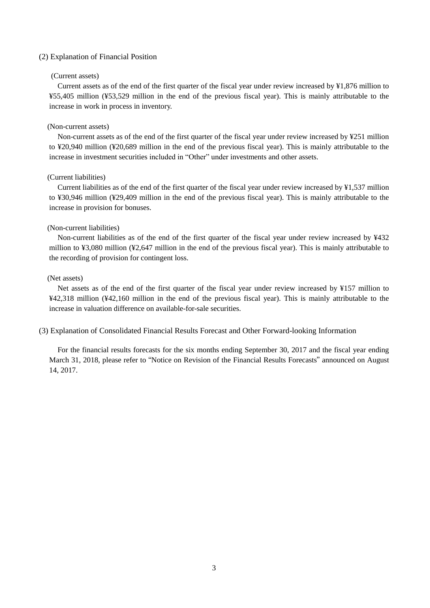#### (2) Explanation of Financial Position

#### (Current assets)

Current assets as of the end of the first quarter of the fiscal year under review increased by ¥1,876 million to ¥55,405 million (¥53,529 million in the end of the previous fiscal year). This is mainly attributable to the increase in work in process in inventory.

#### (Non-current assets)

Non-current assets as of the end of the first quarter of the fiscal year under review increased by ¥251 million to ¥20,940 million (¥20,689 million in the end of the previous fiscal year). This is mainly attributable to the increase in investment securities included in "Other" under investments and other assets.

## (Current liabilities)

Current liabilities as of the end of the first quarter of the fiscal year under review increased by ¥1,537 million to ¥30,946 million (¥29,409 million in the end of the previous fiscal year). This is mainly attributable to the increase in provision for bonuses.

#### (Non-current liabilities)

Non-current liabilities as of the end of the first quarter of the fiscal year under review increased by ¥432 million to ¥3,080 million (¥2,647 million in the end of the previous fiscal year). This is mainly attributable to the recording of provision for contingent loss.

#### (Net assets)

Net assets as of the end of the first quarter of the fiscal year under review increased by ¥157 million to ¥42,318 million (¥42,160 million in the end of the previous fiscal year). This is mainly attributable to the increase in valuation difference on available-for-sale securities.

(3) Explanation of Consolidated Financial Results Forecast and Other Forward-looking Information

For the financial results forecasts for the six months ending September 30, 2017 and the fiscal year ending March 31, 2018, please refer to "Notice on Revision of the Financial Results Forecasts" announced on August 14, 2017.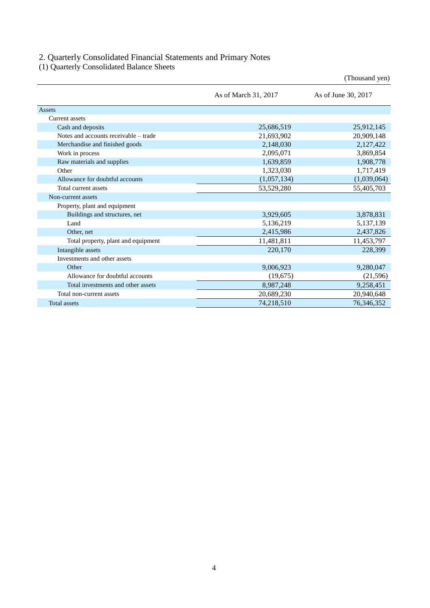### 2. Quarterly Consolidated Financial Statements and Primary Notes

(1) Quarterly Consolidated Balance Sheets

| As of March 31, 2017<br>As of June 30, 2017<br><b>Assets</b><br>Current assets<br>25,686,519<br>25,912,145<br>Cash and deposits<br>Notes and accounts receivable – trade<br>21,693,902<br>20,909,148<br>Merchandise and finished goods<br>2,127,422<br>2,148,030<br>2,095,071<br>3,869,854<br>Work in process<br>Raw materials and supplies<br>1,639,859<br>1,908,778<br>Other<br>1,323,030<br>1,717,419<br>Allowance for doubtful accounts<br>(1,039,064)<br>(1,057,134) |                      |            | (Thousand yen) |
|---------------------------------------------------------------------------------------------------------------------------------------------------------------------------------------------------------------------------------------------------------------------------------------------------------------------------------------------------------------------------------------------------------------------------------------------------------------------------|----------------------|------------|----------------|
|                                                                                                                                                                                                                                                                                                                                                                                                                                                                           |                      |            |                |
|                                                                                                                                                                                                                                                                                                                                                                                                                                                                           |                      |            |                |
|                                                                                                                                                                                                                                                                                                                                                                                                                                                                           |                      |            |                |
|                                                                                                                                                                                                                                                                                                                                                                                                                                                                           |                      |            |                |
|                                                                                                                                                                                                                                                                                                                                                                                                                                                                           |                      |            |                |
|                                                                                                                                                                                                                                                                                                                                                                                                                                                                           |                      |            |                |
|                                                                                                                                                                                                                                                                                                                                                                                                                                                                           |                      |            |                |
|                                                                                                                                                                                                                                                                                                                                                                                                                                                                           |                      |            |                |
|                                                                                                                                                                                                                                                                                                                                                                                                                                                                           |                      |            |                |
|                                                                                                                                                                                                                                                                                                                                                                                                                                                                           |                      |            |                |
|                                                                                                                                                                                                                                                                                                                                                                                                                                                                           | Total current assets | 53,529,280 | 55,405,703     |
| Non-current assets                                                                                                                                                                                                                                                                                                                                                                                                                                                        |                      |            |                |
| Property, plant and equipment                                                                                                                                                                                                                                                                                                                                                                                                                                             |                      |            |                |
| 3,878,831<br>Buildings and structures, net<br>3,929,605                                                                                                                                                                                                                                                                                                                                                                                                                   |                      |            |                |
| 5,136,219<br>5,137,139<br>Land                                                                                                                                                                                                                                                                                                                                                                                                                                            |                      |            |                |
| 2,437,826<br>2,415,986<br>Other, net                                                                                                                                                                                                                                                                                                                                                                                                                                      |                      |            |                |
| 11,481,811<br>Total property, plant and equipment<br>11,453,797                                                                                                                                                                                                                                                                                                                                                                                                           |                      |            |                |
| Intangible assets<br>220,170<br>228,399                                                                                                                                                                                                                                                                                                                                                                                                                                   |                      |            |                |
| Investments and other assets                                                                                                                                                                                                                                                                                                                                                                                                                                              |                      |            |                |
| 9,006,923<br>9,280,047<br>Other                                                                                                                                                                                                                                                                                                                                                                                                                                           |                      |            |                |
| Allowance for doubtful accounts<br>(19, 675)<br>(21,596)                                                                                                                                                                                                                                                                                                                                                                                                                  |                      |            |                |
| Total investments and other assets<br>8,987,248<br>9,258,451                                                                                                                                                                                                                                                                                                                                                                                                              |                      |            |                |
| 20,940,648<br>Total non-current assets<br>20,689,230                                                                                                                                                                                                                                                                                                                                                                                                                      |                      |            |                |
| 74,218,510<br>76,346,352<br><b>Total assets</b>                                                                                                                                                                                                                                                                                                                                                                                                                           |                      |            |                |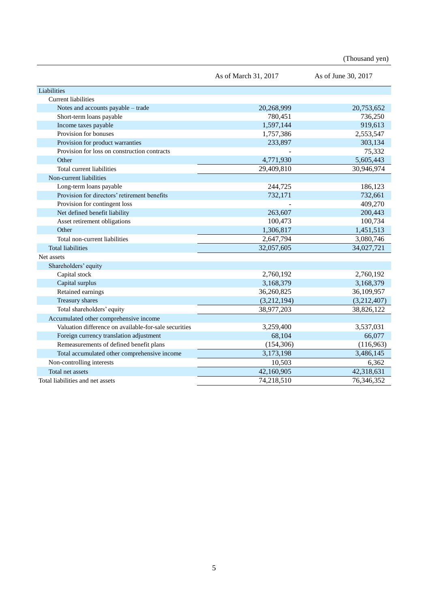(Thousand yen)

|                                                       | As of March 31, 2017 | As of June 30, 2017 |
|-------------------------------------------------------|----------------------|---------------------|
| Liabilities                                           |                      |                     |
| <b>Current liabilities</b>                            |                      |                     |
| Notes and accounts payable - trade                    | 20,268,999           | 20,753,652          |
| Short-term loans payable                              | 780,451              | 736,250             |
| Income taxes payable                                  | 1,597,144            | 919,613             |
| Provision for bonuses                                 | 1,757,386            | 2,553,547           |
| Provision for product warranties                      | 233,897              | 303,134             |
| Provision for loss on construction contracts          |                      | 75,332              |
| Other                                                 | 4,771,930            | 5,605,443           |
| Total current liabilities                             | 29,409,810           | 30,946,974          |
| Non-current liabilities                               |                      |                     |
| Long-term loans payable                               | 244,725              | 186,123             |
| Provision for directors' retirement benefits          | 732,171              | 732,661             |
| Provision for contingent loss                         |                      | 409,270             |
| Net defined benefit liability                         | 263,607              | 200,443             |
| Asset retirement obligations                          | 100,473              | 100,734             |
| Other                                                 | 1,306,817            | 1,451,513           |
| Total non-current liabilities                         | 2,647,794            | 3,080,746           |
| <b>Total liabilities</b>                              | 32,057,605           | 34,027,721          |
| Net assets                                            |                      |                     |
| Shareholders' equity                                  |                      |                     |
| Capital stock                                         | 2,760,192            | 2,760,192           |
| Capital surplus                                       | 3,168,379            | 3,168,379           |
| Retained earnings                                     | 36,260,825           | 36,109,957          |
| Treasury shares                                       | (3,212,194)          | (3,212,407)         |
| Total shareholders' equity                            | 38,977,203           | 38,826,122          |
| Accumulated other comprehensive income                |                      |                     |
| Valuation difference on available-for-sale securities | 3,259,400            | 3,537,031           |
| Foreign currency translation adjustment               | 68,104               | 66,077              |
| Remeasurements of defined benefit plans               | (154, 306)           | (116,963)           |
| Total accumulated other comprehensive income          | 3,173,198            | 3,486,145           |
| Non-controlling interests                             | 10,503               | 6,362               |
| Total net assets                                      | 42,160,905           | 42,318,631          |
| Total liabilities and net assets                      | 74,218,510           | 76,346,352          |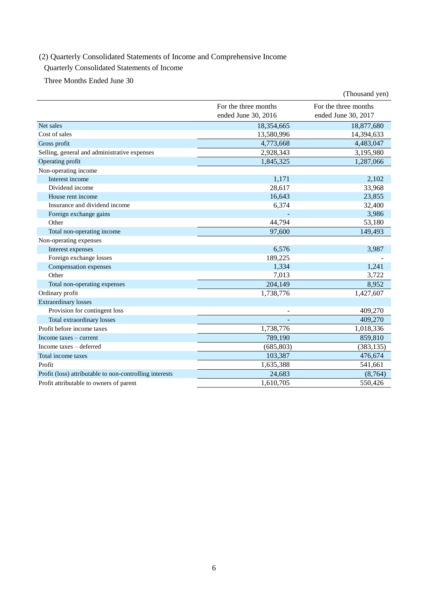# (2) Quarterly Consolidated Statements of Income and Comprehensive Income

## Quarterly Consolidated Statements of Income

Three Months Ended June 30

|                                                         |                                             | (Thousand yen)                              |
|---------------------------------------------------------|---------------------------------------------|---------------------------------------------|
|                                                         | For the three months<br>ended June 30, 2016 | For the three months<br>ended June 30, 2017 |
| Net sales                                               | 18,354,665                                  | 18,877,680                                  |
| Cost of sales                                           | 13,580,996                                  | 14,394,633                                  |
| Gross profit                                            | 4,773,668                                   | 4,483,047                                   |
| Selling, general and administrative expenses            | 2,928,343                                   | 3,195,980                                   |
| Operating profit                                        | 1,845,325                                   | 1,287,066                                   |
| Non-operating income                                    |                                             |                                             |
| Interest income                                         | 1,171                                       | 2,102                                       |
| Dividend income                                         | 28,617                                      | 33,968                                      |
| House rent income                                       | 16,643                                      | 23,855                                      |
| Insurance and dividend income                           | 6,374                                       | 32,400                                      |
| Foreign exchange gains                                  |                                             | 3,986                                       |
| Other                                                   | 44,794                                      | 53,180                                      |
| Total non-operating income                              | 97,600                                      | 149,493                                     |
| Non-operating expenses                                  |                                             |                                             |
| Interest expenses                                       | 6,576                                       | 3,987                                       |
| Foreign exchange losses                                 | 189,225                                     |                                             |
| Compensation expenses                                   | 1,334                                       | 1,241                                       |
| Other                                                   | 7,013                                       | 3,722                                       |
| Total non-operating expenses                            | 204,149                                     | 8,952                                       |
| Ordinary profit                                         | 1,738,776                                   | 1,427,607                                   |
| <b>Extraordinary losses</b>                             |                                             |                                             |
| Provision for contingent loss                           |                                             | 409,270                                     |
| Total extraordinary losses                              |                                             | 409,270                                     |
| Profit before income taxes                              | 1,738,776                                   | 1,018,336                                   |
| Income taxes – current                                  | 789,190                                     | 859,810                                     |
| Income taxes - deferred                                 | (685, 803)                                  | (383, 135)                                  |
| Total income taxes                                      | 103,387                                     | 476,674                                     |
| Profit                                                  | 1,635,388                                   | 541,661                                     |
| Profit (loss) attributable to non-controlling interests | 24,683                                      | (8,764)                                     |
| Profit attributable to owners of parent                 | 1,610,705                                   | 550,426                                     |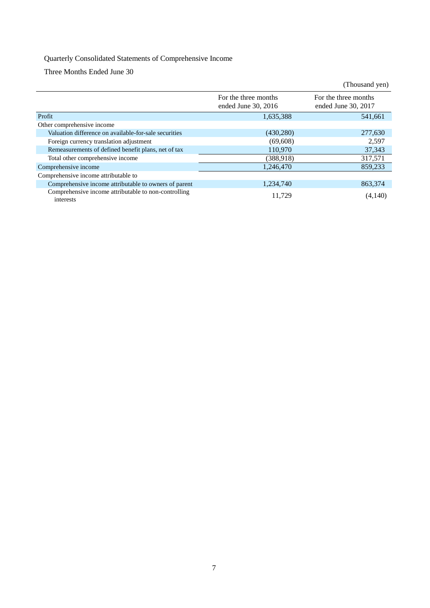# Quarterly Consolidated Statements of Comprehensive Income

Three Months Ended June 30

|                                                                   |                                               | (Thousand yen)                              |
|-------------------------------------------------------------------|-----------------------------------------------|---------------------------------------------|
|                                                                   | For the three months<br>ended June $30, 2016$ | For the three months<br>ended June 30, 2017 |
| Profit                                                            | 1,635,388                                     | 541,661                                     |
| Other comprehensive income                                        |                                               |                                             |
| Valuation difference on available-for-sale securities             | (430, 280)                                    | 277,630                                     |
| Foreign currency translation adjustment                           | (69,608)                                      | 2,597                                       |
| Remeasurements of defined benefit plans, net of tax               | 110,970                                       | 37,343                                      |
| Total other comprehensive income                                  | (388,918)                                     | 317,571                                     |
| Comprehensive income                                              | 1,246,470                                     | 859.233                                     |
| Comprehensive income attributable to                              |                                               |                                             |
| Comprehensive income attributable to owners of parent             | 1,234,740                                     | 863.374                                     |
| Comprehensive income attributable to non-controlling<br>interests | 11.729                                        | (4,140)                                     |